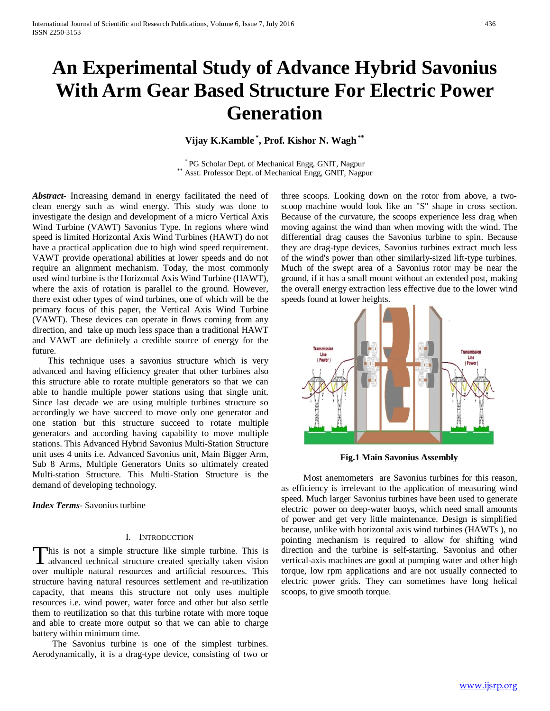# **An Experimental Study of Advance Hybrid Savonius With Arm Gear Based Structure For Electric Power Generation**

# **Vijay K.Kamble \* , Prof. Kishor N. Wagh\*\***

\* PG Scholar Dept. of Mechanical Engg, GNIT, Nagpur \*\* Asst. Professor Dept. of Mechanical Engg, GNIT, Nagpur

*Abstract***-** Increasing demand in energy facilitated the need of clean energy such as wind energy. This study was done to investigate the design and development of a micro Vertical Axis Wind Turbine (VAWT) Savonius Type. In regions where wind speed is limited Horizontal Axis Wind Turbines (HAWT) do not have a practical application due to high wind speed requirement. VAWT provide operational abilities at lower speeds and do not require an alignment mechanism. Today, the most commonly used wind turbine is the Horizontal Axis Wind Turbine (HAWT), where the axis of rotation is parallel to the ground. However, there exist other types of wind turbines, one of which will be the primary focus of this paper, the Vertical Axis Wind Turbine (VAWT). These devices can operate in flows coming from any direction, and take up much less space than a traditional HAWT and VAWT are definitely a credible source of energy for the future.

 This technique uses a savonius structure which is very advanced and having efficiency greater that other turbines also this structure able to rotate multiple generators so that we can able to handle multiple power stations using that single unit. Since last decade we are using multiple turbines structure so accordingly we have succeed to move only one generator and one station but this structure succeed to rotate multiple generators and according having capability to move multiple stations. This Advanced Hybrid Savonius Multi-Station Structure unit uses 4 units i.e. Advanced Savonius unit, Main Bigger Arm, Sub 8 Arms, Multiple Generators Units so ultimately created Multi-station Structure. This Multi-Station Structure is the demand of developing technology.

*Index Terms*- Savonius turbine

### I. INTRODUCTION

his is not a simple structure like simple turbine. This is This is not a simple structure like simple turbine. This is<br>advanced technical structure created specially taken vision over multiple natural resources and artificial resources. This structure having natural resources settlement and re-utilization capacity, that means this structure not only uses multiple resources i.e. wind power, water force and other but also settle them to reutilization so that this turbine rotate with more toque and able to create more output so that we can able to charge battery within minimum time.

 The Savonius turbine is one of the simplest turbines. Aerodynamically, it is a drag-type device, consisting of two or three scoops. Looking down on the rotor from above, a twoscoop machine would look like an "S" shape in cross section. Because of the curvature, the scoops experience less drag when moving against the wind than when moving with the wind. The differential drag causes the Savonius turbine to spin. Because they are drag-type devices, Savonius turbines extract much less of the wind's power than other similarly-sized lift-type turbines. Much of the swept area of a Savonius rotor may be near the ground, if it has a small mount without an extended post, making the overall energy extraction less effective due to the lower wind speeds found at lower heights.



**Fig.1 Main Savonius Assembly**

 Most anemometers are Savonius turbines for this reason, as efficiency is irrelevant to the application of measuring wind speed. Much larger Savonius turbines have been used to generate electric power on deep-water buoys, which need small amounts of power and get very little maintenance. Design is simplified because, unlike with horizontal axis wind turbines (HAWTs ), no pointing mechanism is required to allow for shifting wind direction and the turbine is self-starting. Savonius and other vertical-axis machines are good at pumping water and other high torque, low rpm applications and are not usually connected to electric power grids. They can sometimes have long helical scoops, to give smooth torque.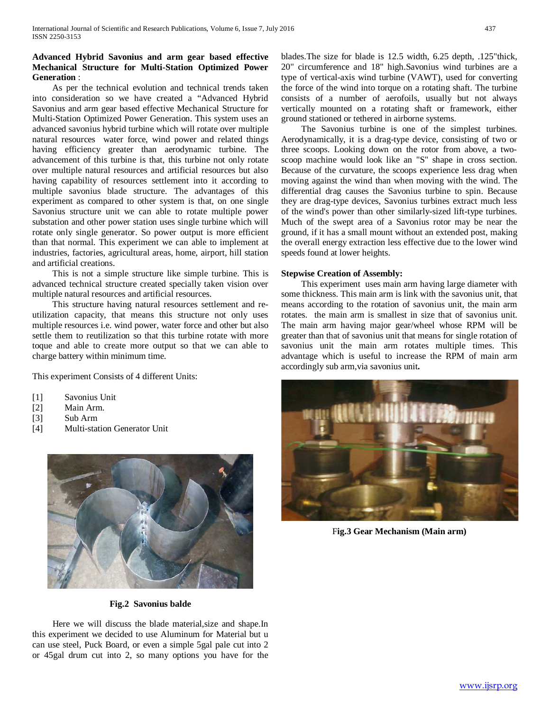## **Advanced Hybrid Savonius and arm gear based effective Mechanical Structure for Multi-Station Optimized Power Generation** :

 As per the technical evolution and technical trends taken into consideration so we have created a "Advanced Hybrid Savonius and arm gear based effective Mechanical Structure for Multi-Station Optimized Power Generation. This system uses an advanced savonius hybrid turbine which will rotate over multiple natural resources water force, wind power and related things having efficiency greater than aerodynamic turbine. The advancement of this turbine is that, this turbine not only rotate over multiple natural resources and artificial resources but also having capability of resources settlement into it according to multiple savonius blade structure. The advantages of this experiment as compared to other system is that, on one single Savonius structure unit we can able to rotate multiple power substation and other power station uses single turbine which will rotate only single generator. So power output is more efficient than that normal. This experiment we can able to implement at industries, factories, agricultural areas, home, airport, hill station and artificial creations.

 This is not a simple structure like simple turbine. This is advanced technical structure created specially taken vision over multiple natural resources and artificial resources.

 This structure having natural resources settlement and reutilization capacity, that means this structure not only uses multiple resources i.e. wind power, water force and other but also settle them to reutilization so that this turbine rotate with more toque and able to create more output so that we can able to charge battery within minimum time.

This experiment Consists of 4 different Units:

- [1] Savonius Unit
- [2] Main Arm.
- [3] Sub Arm
- [4] Multi-station Generator Unit



**Fig.2 Savonius balde**

 Here we will discuss the blade material,size and shape.In this experiment we decided to use Aluminum for Material but u can use steel, Puck Board, or even a simple 5gal pale cut into 2 or 45gal drum cut into 2, so many options you have for the

blades.The size for blade is 12.5 width, 6.25 depth, .125"thick, 20" circumference and 18" high.Savonius wind turbines are a type of vertical-axis wind turbine (VAWT), used for converting the force of the wind into torque on a rotating shaft. The turbine consists of a number of aerofoils, usually but not always vertically mounted on a rotating shaft or framework, either ground stationed or tethered in airborne systems.

 The Savonius turbine is one of the simplest turbines. Aerodynamically, it is a drag-type device, consisting of two or three scoops. Looking down on the rotor from above, a twoscoop machine would look like an "S" shape in cross section. Because of the curvature, the scoops experience less drag when moving against the wind than when moving with the wind. The differential drag causes the Savonius turbine to spin. Because they are drag-type devices, Savonius turbines extract much less of the wind's power than other similarly-sized lift-type turbines. Much of the swept area of a Savonius rotor may be near the ground, if it has a small mount without an extended post, making the overall energy extraction less effective due to the lower wind speeds found at lower heights.

#### **Stepwise Creation of Assembly:**

 This experiment uses main arm having large diameter with some thickness. This main arm is link with the savonius unit, that means according to the rotation of savonius unit, the main arm rotates. the main arm is smallest in size that of savonius unit. The main arm having major gear/wheel whose RPM will be greater than that of savonius unit that means for single rotation of savonius unit the main arm rotates multiple times. This advantage which is useful to increase the RPM of main arm accordingly sub arm,via savonius unit**.**



F**ig.3 Gear Mechanism (Main arm)**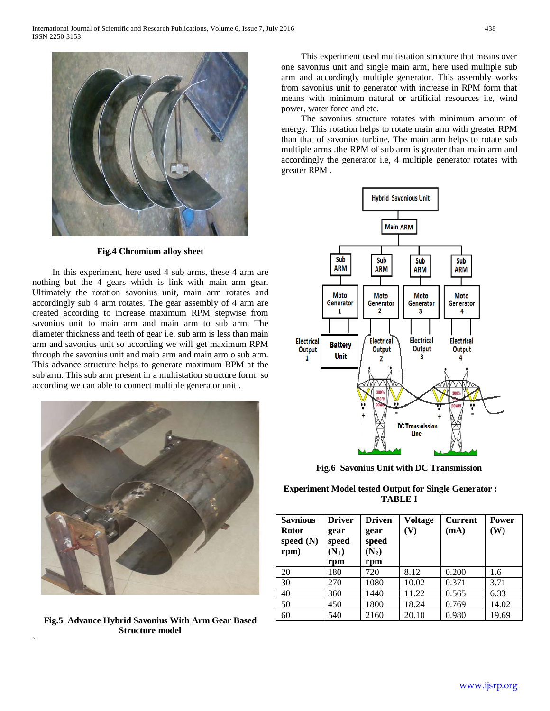

**Fig.4 Chromium alloy sheet**

 In this experiment, here used 4 sub arms, these 4 arm are nothing but the 4 gears which is link with main arm gear. Ultimately the rotation savonius unit, main arm rotates and accordingly sub 4 arm rotates. The gear assembly of 4 arm are created according to increase maximum RPM stepwise from savonius unit to main arm and main arm to sub arm. The diameter thickness and teeth of gear i.e. sub arm is less than main arm and savonius unit so according we will get maximum RPM through the savonius unit and main arm and main arm o sub arm. This advance structure helps to generate maximum RPM at the sub arm. This sub arm present in a multistation structure form, so according we can able to connect multiple generator unit .



**Fig.5 Advance Hybrid Savonius With Arm Gear Based Structure model**

**`**

 This experiment used multistation structure that means over one savonius unit and single main arm, here used multiple sub arm and accordingly multiple generator. This assembly works from savonius unit to generator with increase in RPM form that means with minimum natural or artificial resources i.e, wind power, water force and etc.

 The savonius structure rotates with minimum amount of energy. This rotation helps to rotate main arm with greater RPM than that of savonius turbine. The main arm helps to rotate sub multiple arms .the RPM of sub arm is greater than main arm and accordingly the generator i.e, 4 multiple generator rotates with greater RPM .



**Fig.6 Savonius Unit with DC Transmission**

**Experiment Model tested Output for Single Generator : TABLE I**

| <b>Saynious</b><br><b>Rotor</b><br>speed $(N)$<br>rpm) | <b>Driver</b><br>gear<br>speed<br>$(N_1)$<br>rpm | <b>Driven</b><br>gear<br>speed<br>$(N_2)$<br>rpm | <b>Voltage</b><br>(V) | <b>Current</b><br>(mA) | <b>Power</b><br>(W) |
|--------------------------------------------------------|--------------------------------------------------|--------------------------------------------------|-----------------------|------------------------|---------------------|
| 20                                                     | 180                                              | 720                                              | 8.12                  | 0.200                  | 1.6                 |
| 30                                                     | 270                                              | 1080                                             | 10.02                 | 0.371                  | 3.71                |
| 40                                                     | 360                                              | 1440                                             | 11.22                 | 0.565                  | 6.33                |
| 50                                                     | 450                                              | 1800                                             | 18.24                 | 0.769                  | 14.02               |
| 60                                                     | 540                                              | 2160                                             | 20.10                 | 0.980                  | 19.69               |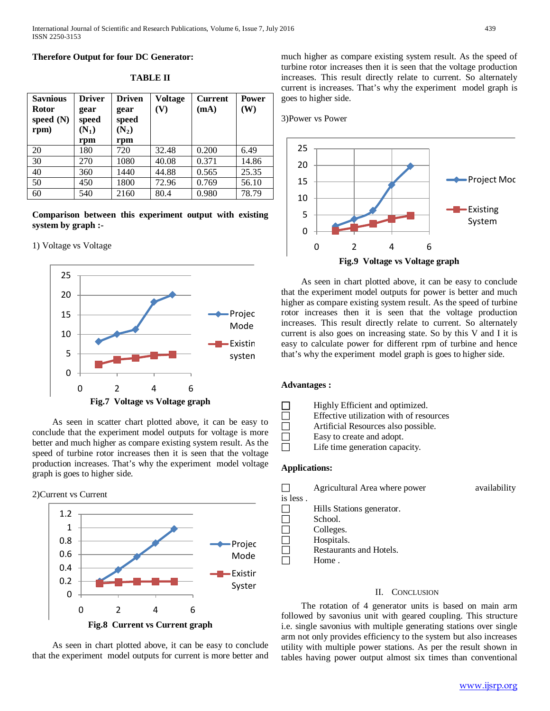#### **Therefore Output for four DC Generator:**

| <b>Savnious</b><br><b>Rotor</b><br>speed $(N)$<br>rpm) | <b>Driver</b><br>gear<br>speed<br>$(N_1)$<br>rpm | <b>Driven</b><br>gear<br>speed<br>$(N_2)$<br>rpm | <b>Voltage</b><br>(V) | <b>Current</b><br>(mA) | <b>Power</b><br>(W) |
|--------------------------------------------------------|--------------------------------------------------|--------------------------------------------------|-----------------------|------------------------|---------------------|
| 20                                                     | 180                                              | 720                                              | 32.48                 | 0.200                  | 6.49                |
| 30                                                     | 270                                              | 1080                                             | 40.08                 | 0.371                  | 14.86               |
| 40                                                     | 360                                              | 1440                                             | 44.88                 | 0.565                  | 25.35               |
| 50                                                     | 450                                              | 1800                                             | 72.96                 | 0.769                  | 56.10               |
| 60                                                     | 540                                              | 2160                                             | 80.4                  | 0.980                  | 78.79               |

**TABLE II**

**Comparison between this experiment output with existing system by graph :-**

#### 1) Voltage vs Voltage



 As seen in scatter chart plotted above, it can be easy to conclude that the experiment model outputs for voltage is more better and much higher as compare existing system result. As the speed of turbine rotor increases then it is seen that the voltage production increases. That's why the experiment model voltage graph is goes to higher side.





 As seen in chart plotted above, it can be easy to conclude that the experiment model outputs for current is more better and much higher as compare existing system result. As the speed of turbine rotor increases then it is seen that the voltage production increases. This result directly relate to current. So alternately current is increases. That's why the experiment model graph is goes to higher side.





 As seen in chart plotted above, it can be easy to conclude that the experiment model outputs for power is better and much higher as compare existing system result. As the speed of turbine rotor increases then it is seen that the voltage production increases. This result directly relate to current. So alternately current is also goes on increasing state. So by this V and I it is easy to calculate power for different rpm of turbine and hence that's why the experiment model graph is goes to higher side.

#### **Advantages :**

 $\Box$  Highly Efficient and optimized.  $\Box$  Effective utilization with of resources  $\Box$  Artificial Resources also possible. Artificial Resources also possible.  $\Box$  Easy to create and adopt. Life time generation capacity.

#### **Applications:**

|              | Agricultural Area where power | availability |
|--------------|-------------------------------|--------------|
| is less .    |                               |              |
|              | Hills Stations generator.     |              |
| L            | School.                       |              |
| $\mathbf{L}$ | Colleges.                     |              |
| L            | Hospitals.                    |              |
|              | Restaurants and Hotels.       |              |
|              | Home.                         |              |

#### II. CONCLUSION

 The rotation of 4 generator units is based on main arm followed by savonius unit with geared coupling. This structure i.e. single savonius with multiple generating stations over single arm not only provides efficiency to the system but also increases utility with multiple power stations. As per the result shown in tables having power output almost six times than conventional